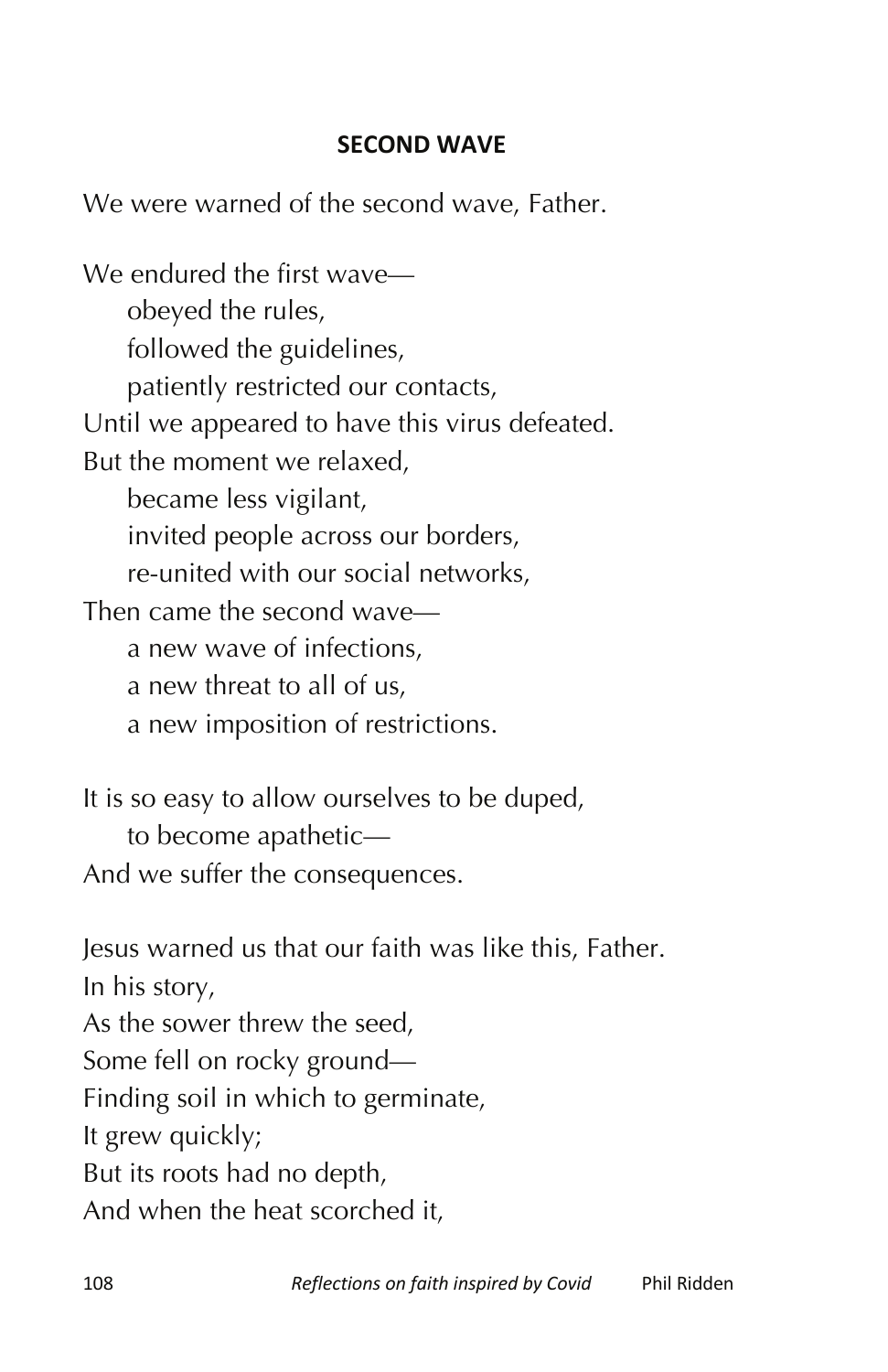## **SECOND WAVE**

We were warned of the second wave, Father.

We endured the first wave obeyed the rules, followed the guidelines, patiently restricted our contacts, Until we appeared to have this virus defeated. But the moment we relaxed, became less vigilant, invited people across our borders, re-united with our social networks, Then came the second wave a new wave of infections, a new threat to all of us, a new imposition of restrictions.

It is so easy to allow ourselves to be duped, to become apathetic— And we suffer the consequences.

Jesus warned us that our faith was like this, Father. In his story, As the sower threw the seed, Some fell on rocky ground— Finding soil in which to germinate, It grew quickly; But its roots had no depth, And when the heat scorched it,